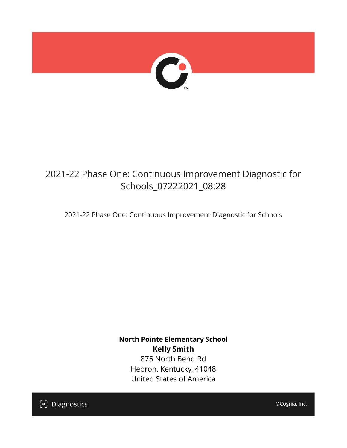

# 2021-22 Phase One: Continuous Improvement Diagnostic for Schools\_07222021\_08:28

2021-22 Phase One: Continuous Improvement Diagnostic for Schools

**North Pointe Elementary School Kelly Smith** 875 North Bend Rd Hebron, Kentucky, 41048 United States of America

[၁] Diagnostics

©Cognia, Inc.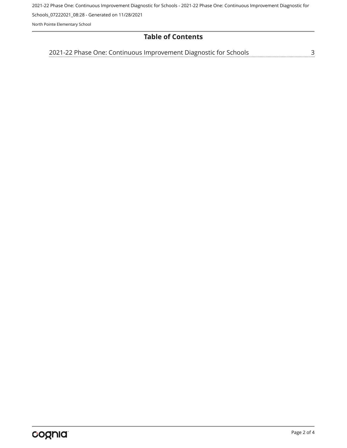2021-22 Phase One: Continuous Improvement Diagnostic for Schools - 2021-22 Phase One: Continuous Improvement Diagnostic for

Schools\_07222021\_08:28 - Generated on 11/28/2021

North Pointe Elementary School

# **Table of Contents**

<u>[3](#page-2-0)</u> [2021-22 Phase One: Continuous Improvement Diagnostic for Schools](#page-2-0)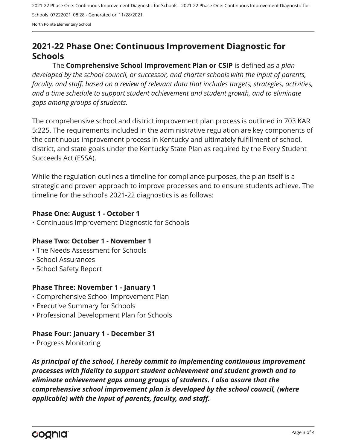2021-22 Phase One: Continuous Improvement Diagnostic for Schools - 2021-22 Phase One: Continuous Improvement Diagnostic for Schools\_07222021\_08:28 - Generated on 11/28/2021 North Pointe Elementary School

# <span id="page-2-0"></span>**2021-22 Phase One: Continuous Improvement Diagnostic for Schools**

The **Comprehensive School Improvement Plan or CSIP** is defined as a *plan developed by the school council, or successor, and charter schools with the input of parents, faculty, and staff, based on a review of relevant data that includes targets, strategies, activities, and a time schedule to support student achievement and student growth, and to eliminate gaps among groups of students.*

The comprehensive school and district improvement plan process is outlined in 703 KAR 5:225. The requirements included in the administrative regulation are key components of the continuous improvement process in Kentucky and ultimately fulfillment of school, district, and state goals under the Kentucky State Plan as required by the Every Student Succeeds Act (ESSA).

While the regulation outlines a timeline for compliance purposes, the plan itself is a strategic and proven approach to improve processes and to ensure students achieve. The timeline for the school's 2021-22 diagnostics is as follows:

#### **Phase One: August 1 - October 1**

• Continuous Improvement Diagnostic for Schools

# **Phase Two: October 1 - November 1**

- The Needs Assessment for Schools
- School Assurances
- School Safety Report

# **Phase Three: November 1 - January 1**

- Comprehensive School Improvement Plan
- Executive Summary for Schools
- Professional Development Plan for Schools

# **Phase Four: January 1 - December 31**

• Progress Monitoring

*As principal of the school, I hereby commit to implementing continuous improvement processes with fidelity to support student achievement and student growth and to eliminate achievement gaps among groups of students. I also assure that the comprehensive school improvement plan is developed by the school council, (where applicable) with the input of parents, faculty, and staff.*